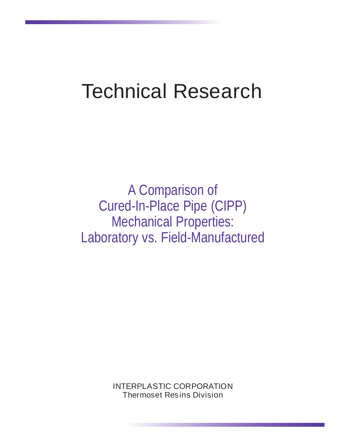# Technical Research

A Comparison of Cured-In-Place Pipe (CIPP) Mechanical Properties: Laboratory vs. Field-Manufactured

> INTERPLASTIC CORPORATION Thermoset Resins Division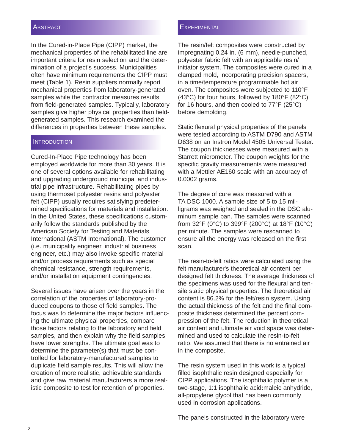#### **ABSTRACT**

In the Cured-in-Place Pipe (CIPP) market, the mechanical properties of the rehabilitated line are important critera for resin selection and the determination of a project's success. Municipalities often have minimum requirements the CIPP must meet (Table 1). Resin suppliers normally report mechanical properties from laboratory-generated samples while the contractor measures results from field-generated samples. Typically, laboratory samples give higher physical properties than fieldgenerated samples. This research examined the differences in properties between these samples.

#### INTRODUCTION

Cured-In-Place Pipe technology has been employed worldwide for more than 30 years. It is one of several options available for rehabilitating and upgrading underground municipal and industrial pipe infrastructure. Rehabilitating pipes by using thermoset polyester resins and polyester felt (CIPP) usually requires satisfying predetermined specifications for materials and installation. In the United States, these specifications customarily follow the standards published by the American Society for Testing and Materials International (ASTM International). The customer (i.e. municipality engineer, industrial business engineer, etc.) may also invoke specific material and/or process requirements such as special chemical resistance, strength requirements, and/or installation equipment contingencies.

Several issues have arisen over the years in the correlation of the properties of laboratory-produced coupons to those of field samples. The focus was to determine the major factors influencing the ultimate physical properties, compare those factors relating to the laboratory and field samples, and then explain why the field samples have lower strengths. The ultimate goal was to determine the parameter(s) that must be controlled for laboratory-manufactured samples to duplicate field sample results. This will allow the creation of more realistic, achievable standards and give raw material manufacturers a more realistic composite to test for retention of properties.

#### **EXPERIMENTAL**

The resin/felt composites were constructed by impregnating 0.24 in. (6 mm), needle-punched, polyester fabric felt with an applicable resin/ initiator system. The composites were cured in a clamped mold, incorporating precision spacers, in a time/temperature programmable hot air oven. The composites were subjected to 110°F (43°C) for four hours, followed by 180°F (82°C) for 16 hours, and then cooled to 77°F (25°C) before demolding.

Static flexural physical properties of the panels were tested according to ASTM D790 and ASTM D638 on an Instron Model 4505 Universal Tester. The coupon thicknesses were measured with a Starrett micrometer. The coupon weights for the specific gravity measurements were measured with a Mettler AE160 scale with an accuracy of 0.0002 grams.

The degree of cure was measured with a TA DSC 1000. A sample size of 5 to 15 milligrams was weighed and sealed in the DSC aluminum sample pan. The samples were scanned from 32°F (0°C) to 399°F (200°C) at 18°F (10°C) per minute. The samples were rescanned to ensure all the energy was released on the first scan.

The resin-to-felt ratios were calculated using the felt manufacturer's theoretical air content per designed felt thickness. The average thickness of the specimens was used for the flexural and tensile static physical properties. The theoretical air content is 86.2% for the felt/resin system. Using the actual thickness of the felt and the final composite thickness determined the percent compression of the felt. The reduction in theoretical air content and ultimate air void space was determined and used to calculate the resin-to-felt ratio. We assumed that there is no entrained air in the composite.

The resin system used in this work is a typical filled isophthalic resin designed especially for CIPP applications. The isophthalic polymer is a two-stage, 1:1 isophthalic acid**:**maleic anhydride, all-propylene glycol that has been commonly used in corrosion applications.

The panels constructed in the laboratory were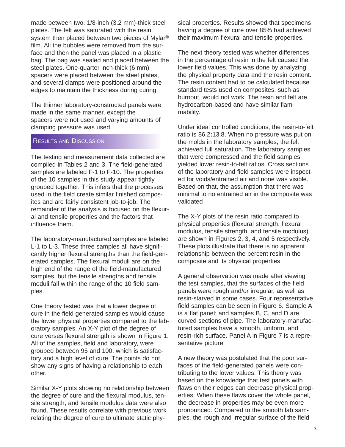made between two, 1/8-inch (3.2 mm)-thick steel plates. The felt was saturated with the resin system then placed between two pieces of Mylar® film. All the bubbles were removed from the surface and then the panel was placed in a plastic bag. The bag was sealed and placed between the steel plates. One-quarter inch-thick (6 mm) spacers were placed between the steel plates, and several clamps were positioned around the edges to maintain the thickness during curing.

The thinner laboratory-constructed panels were made in the same manner, except the spacers were not used and varying amounts of clamping pressure was used.

## RESULTS AND DISCUSSION

The testing and measurement data collected are compiled in Tables 2 and 3. The field-generated samples are labeled F-1 to F-10. The properties of the 10 samples in this study appear tightly grouped together. This infers that the processes used in the field create similar finished composites and are fairly consistent job-to-job. The remainder of the analysis is focused on the flexural and tensile properties and the factors that influence them.

The laboratory-manufactured samples are labeled L-1 to L-3. These three samples all have significantly higher flexural strengths than the field-generated samples. The flexural moduli are on the high end of the range of the field-manufactured samples, but the tensile strengths and tensile moduli fall within the range of the 10 field samples.

One theory tested was that a lower degree of cure in the field generated samples would cause the lower physical properties compared to the laboratory samples. An X-Y plot of the degree of cure verses flexural strength is shown in Figure 1. All of the samples, field and laboratory, were grouped between 95 and 100, which is satisfactory and a high level of cure. The points do not show any signs of having a relationship to each other.

Similar X-Y plots showing no relationship between the degree of cure and the flexural modulus, tensile strength, and tensile modulus data were also found. These results correlate with previous work relating the degree of cure to ultimate static physical properties. Results showed that specimens having a degree of cure over 85% had achieved their maximum flexural and tensile properties.

The next theory tested was whether differences in the percentage of resin in the felt caused the lower field values. This was done by analyzing the physical property data and the resin content. The resin content had to be calculated because standard tests used on composites, such as burnout, would not work. The resin and felt are hydrocarbon-based and have similar flammability.

Under ideal controlled conditions, the resin-to-felt ratio is 86.2**:**13.8. When no pressure was put on the molds in the laboratory samples, the felt achieved full saturation. The laboratory samples that were compressed and the field samples yielded lower resin-to-felt ratios. Cross sections of the laboratory and field samples were inspected for voids/entrained air and none was visible. Based on that, the assumption that there was minimal to no entrained air in the composite was validated

The X-Y plots of the resin ratio compared to physical properties (flexural strength, flexural modulus, tensile strength, and tensile modulus) are shown in Figures 2, 3, 4, and 5 respectively. These plots illustrate that there is no apparent relationship between the percent resin in the composite and its physical properties.

A general observation was made after viewing the test samples, that the surfaces of the field panels were rough and/or irregular, as well as resin-starved in some cases. Four representative field samples can be seen in Figure 6. Sample A is a flat panel; and samples B, C, and D are curved sections of pipe. The laboratory-manufactured samples have a smooth, uniform, and resin-rich surface. Panel A in Figure 7 is a representative picture.

A new theory was postulated that the poor surfaces of the field-generated panels were contributing to the lower values. This theory was based on the knowledge that test panels with flaws on their edges can decrease physical properties. When these flaws cover the whole panel, the decrease in properties may be even more pronounced. Compared to the smooth lab samples, the rough and irregular surface of the field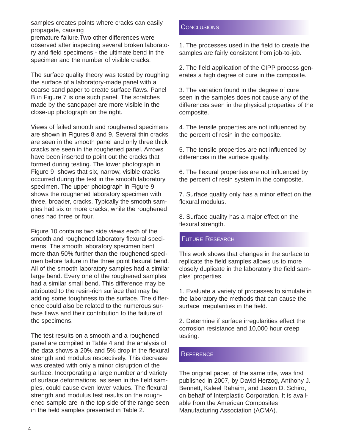samples creates points where cracks can easily propagate, causing

premature failure.Two other differences were observed after inspecting several broken laboratory and field specimens - the ultimate bend in the specimen and the number of visible cracks.

The surface quality theory was tested by roughing the surface of a laboratory-made panel with a coarse sand paper to create surface flaws. Panel B in Figure 7 is one such panel. The scratches made by the sandpaper are more visible in the close-up photograph on the right.

Views of failed smooth and roughened specimens are shown in Figures 8 and 9. Several thin cracks are seen in the smooth panel and only three thick cracks are seen in the roughened panel. Arrows have been inserted to point out the cracks that formed during testing. The lower photograph in Figure 9 shows that six, narrow, visible cracks occurred during the test in the smooth laboratory specimen. The upper photograph in Figure 9 shows the roughened laboratory specimen with three, broader, cracks. Typically the smooth samples had six or more cracks, while the roughened ones had three or four.

Figure 10 contains two side views each of the smooth and roughened laboratory flexural specimens. The smooth laboratory specimen bent more than 50% further than the roughened specimen before failure in the three point flexural bend. All of the smooth laboratory samples had a similar large bend. Every one of the roughened samples had a similar small bend. This difference may be attributed to the resin-rich surface that may be adding some toughness to the surface. The difference could also be related to the numerous surface flaws and their contribution to the failure of the specimens.

The test results on a smooth and a roughened panel are compiled in Table 4 and the analysis of the data shows a 20% and 5% drop in the flexural strength and modulus respectively. This decrease was created with only a minor disruption of the surface. Incorporating a large number and variety of surface deformations, as seen in the field samples, could cause even lower values. The flexural strength and modulus test results on the roughened sample are in the top side of the range seen in the field samples presented in Table 2.

#### **CONCLUSIONS**

1. The processes used in the field to create the samples are fairly consistent from job-to-job.

2. The field application of the CIPP process generates a high degree of cure in the composite.

3. The variation found in the degree of cure seen in the samples does not cause any of the differences seen in the physical properties of the composite.

4. The tensile properties are not influenced by the percent of resin in the composite.

5. The tensile properties are not influenced by differences in the surface quality.

6. The flexural properties are not influenced by the percent of resin system in the composite.

7. Surface quality only has a minor effect on the flexural modulus.

8. Surface quality has a major effect on the flexural strength.

## FUTURE RESEARCH

This work shows that changes in the surface to replicate the field samples allows us to more closely duplicate in the laboratory the field samples' properties.

1. Evaluate a variety of processes to simulate in the laboratory the methods that can cause the surface irregularities in the field.

2. Determine if surface irregularities effect the corrosion resistance and 10,000 hour creep testing.

## **REFERENCE**

The original paper, of the same title, was first published in 2007, by David Herzog, Anthony J. Bennett, Kaleel Rahaim, and Jason D. Schiro, on behalf of Interplastic Corporation. It is available from the American Composites Manufacturing Association (ACMA).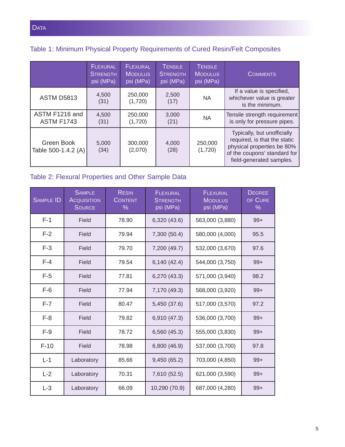# Table 1: Minimum Physical Property Requirements of Cured Resin/Felt Composites

|                                     | <b>FLEXURAL</b><br><b>STRENGTH</b><br>psi (MPa) | <b>FLEXURAL</b><br><b>MODULUS</b><br>psi (MPa) | <b>TENSILE</b><br><b>STRENGTH</b><br>psi (MPa) | <b>TENSILE</b><br><b>MODULUS</b><br>psi (MPa) | <b>COMMENTS</b>                                                                                                                                       |
|-------------------------------------|-------------------------------------------------|------------------------------------------------|------------------------------------------------|-----------------------------------------------|-------------------------------------------------------------------------------------------------------------------------------------------------------|
| <b>ASTM D5813</b>                   | 4,500<br>(31)                                   | 250,000<br>(1,720)                             | 2,500<br>(17)                                  | <b>NA</b>                                     | If a value is specified,<br>whichever value is greater<br>is the minimum.                                                                             |
| ASTM F1216 and<br><b>ASTM F1743</b> | 4,500<br>(31)                                   | 250,000<br>(1,720)                             | 3,000<br>(21)                                  | <b>NA</b>                                     | Tensile strength requirement<br>is only for pressure pipes.                                                                                           |
| Green Book<br>Table 500-1.4.2 (A)   | 5,000<br>(34)                                   | 300,000<br>(2,070)                             | 4,000<br>(28)                                  | 250,000<br>(1,720)                            | Typically, but unofficially<br>required, is that the static<br>physical properties be 80%<br>of the coupons' standard for<br>field-generated samples. |

## Table 2: Flexural Properties and Other Sample Data

| <b>SAMPLE ID</b> | <b>SAMPLE</b><br><b>ACQUISITION</b><br><b>SOURCE</b> | <b>RESIN</b><br><b>CONTENT</b><br>% | <b>FLEXURAL</b><br><b>STRENGTH</b><br>psi (MPa) | <b>FLEXURAL</b><br><b>MODULUS</b><br>psi (MPa) | <b>DEGREE</b><br>OF CURE<br>$\%$ |
|------------------|------------------------------------------------------|-------------------------------------|-------------------------------------------------|------------------------------------------------|----------------------------------|
| $F-1$            | Field                                                | 78.90                               | 6,320 (43.6)                                    | 563,000 (3,880)                                | $99+$                            |
| $F-2$            | Field                                                | 79.94                               | 7,300 (50.4)                                    | 580,000 (4,000)                                | 95.5                             |
| $F-3$            | Field                                                | 79.70                               | 7,200 (49.7)                                    | 532,000 (3,670)                                | 97.6                             |
| $F-4$            | Field                                                | 79.54                               | 6,140 (42.4)                                    | 544,000 (3,750)                                | $99+$                            |
| $F-5$            | Field                                                | 77.81                               | 6,270 (43.3)                                    | 571,000 (3,940)                                | 98.2                             |
| $F-6$            | Field                                                | 77.94                               | 7,170 (49.3)                                    | 568,000 (3,920)                                | $99+$                            |
| $F-7$            | Field                                                | 80.47                               | 5,450 (37.6)                                    | 517,000 (3,570)                                | 97.2                             |
| $F-8$            | Field                                                | 79.82                               | 6,910 (47.3)                                    | 536,000 (3,700)                                | $99+$                            |
| $F-9$            | Field                                                | 78.72                               | 6,560 (45.3)                                    | 555,000 (3,830)                                | $99+$                            |
| $F-10$           | Field                                                | 78.98                               | 6,800 (46.9)                                    | 537,000 (3,700)                                | 97.8                             |
| $L-1$            | Laboratory                                           | 85.66                               | 9,450 (65.2)                                    | 703,000 (4,850)                                | $99+$                            |
| $L-2$            | Laboratory                                           | 70.31                               | 7,610 (52.5)                                    | 621,000 (3,590)                                | $99+$                            |
| $L-3$            | Laboratory                                           | 66.09                               | 10,290 (70.9)                                   | 687,000 (4,280)                                | $99+$                            |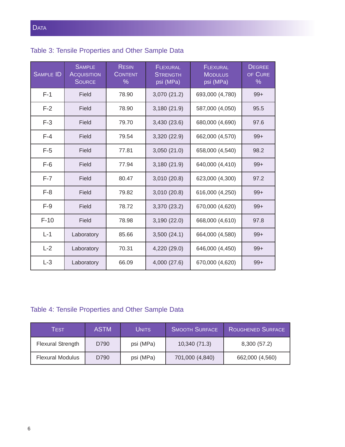# Table 3: Tensile Properties and Other Sample Data

| <b>SAMPLE ID</b> | <b>SAMPLE</b><br><b>ACQUISITION</b><br><b>SOURCE</b> | <b>RESIN</b><br><b>CONTENT</b><br>% | <b>FLEXURAL</b><br><b>STRENGTH</b><br>psi (MPa) | <b>FLEXURAL</b><br><b>MODULUS</b><br>psi (MPa) | <b>DEGREE</b><br>OF CURE<br>$\%$ |
|------------------|------------------------------------------------------|-------------------------------------|-------------------------------------------------|------------------------------------------------|----------------------------------|
| $F-1$            | Field                                                | 78.90                               | 3,070 (21.2)                                    | 693,000 (4,780)                                | $99+$                            |
| $F-2$            | Field                                                | 78.90                               | 3,180(21.9)                                     | 587,000 (4,050)                                | 95.5                             |
| $F-3$            | Field                                                | 79.70                               | 3,430 (23.6)                                    | 680,000 (4,690)                                | 97.6                             |
| $F-4$            | Field                                                | 79.54                               | 3,320 (22.9)                                    | 662,000 (4,570)                                | $99+$                            |
| $F-5$            | Field                                                | 77.81                               | 3,050(21.0)                                     | 658,000 (4,540)                                | 98.2                             |
| $F-6$            | Field                                                | 77.94                               | 3,180 (21.9)                                    | 640,000 (4,410)                                | $99+$                            |
| $F-7$            | Field                                                | 80.47                               | 3,010 (20.8)                                    | 623,000 (4,300)                                | 97.2                             |
| $F-8$            | Field                                                | 79.82                               | 3,010 (20.8)                                    | 616,000 (4,250)                                | $99+$                            |
| $F-9$            | Field                                                | 78.72                               | 3,370 (23.2)                                    | 670,000 (4,620)                                | $99+$                            |
| $F-10$           | Field                                                | 78.98                               | 3,190 (22.0)                                    | 668,000 (4,610)                                | 97.8                             |
| $L-1$            | Laboratory                                           | 85.66                               | 3,500(24.1)                                     | 664,000 (4,580)                                | $99+$                            |
| $L-2$            | Laboratory                                           | 70.31                               | 4,220 (29.0)                                    | 646,000 (4,450)                                | $99+$                            |
| $L-3$            | Laboratory                                           | 66.09                               | 4,000 (27.6)                                    | 670,000 (4,620)                                | $99+$                            |

# Table 4: Tensile Properties and Other Sample Data

| TEST                     | <b>ASTM</b> | <b>UNITS</b> | SMOOTH SURFACE  | ROUGHENED SURFACE |
|--------------------------|-------------|--------------|-----------------|-------------------|
| <b>Flexural Strength</b> | D790        | psi (MPa)    | 10,340 (71.3)   | 8,300 (57.2)      |
| <b>Flexural Modulus</b>  | D790        | psi (MPa)    | 701,000 (4,840) | 662,000 (4,560)   |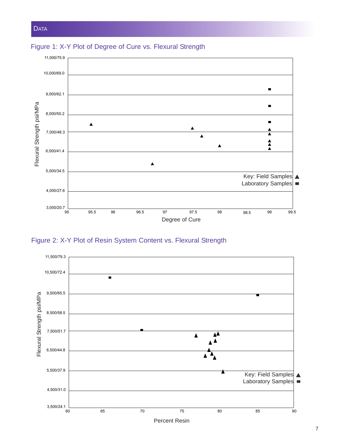

Figure 1: X-Y Plot of Degree of Cure vs. Flexural Strength

Figure 2: X-Y Plot of Resin System Content vs. Flexural Strength

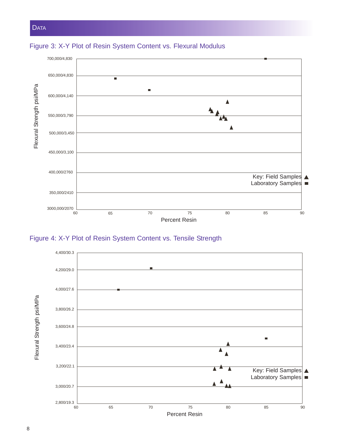

## Figure 3: X-Y Plot of Resin System Content vs. Flexural Modulus



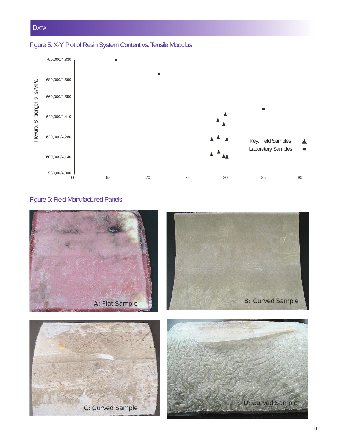# Figure 5: X-Y Plot of Resin System Content vs. Tensile Modulus



## Figure 6: Field-Manufactured Panels

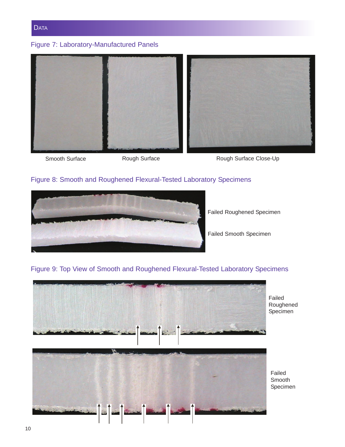

# Figure 7: Laboratory-Manufactured Panels



Smooth Surface **Rough Surface** Rough Surface Rough Surface Close-Up

## Figure 8: Smooth and Roughened Flexural-Tested Laboratory Specimens



Failed Roughened Specimen

Failed Smooth Specimen

## Figure 9: Top View of Smooth and Roughened Flexural-Tested Laboratory Specimens



Failed Roughened Specimen

Failed Smooth Specimen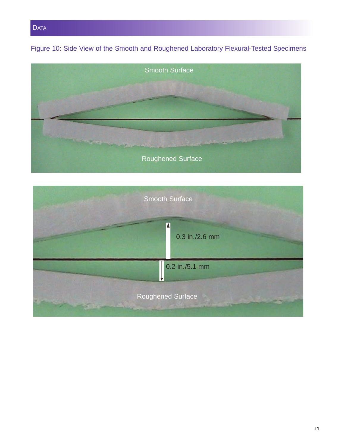**DATA** 

Figure 10: Side View of the Smooth and Roughened Laboratory Flexural-Tested Specimens